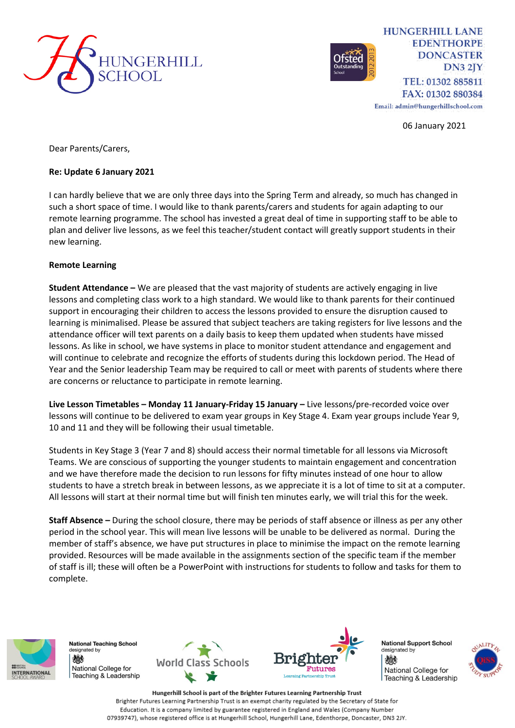



**HUNGERHILL LANE EDENTHORPE DONCASTER**  $DN32JY$ TEL: 01302 885811 FAX: 01302 880384

Email: admin@hungerhillschool.com

06 January 2021

Dear Parents/Carers,

# **Re: Update 6 January 2021**

I can hardly believe that we are only three days into the Spring Term and already, so much has changed in such a short space of time. I would like to thank parents/carers and students for again adapting to our remote learning programme. The school has invested a great deal of time in supporting staff to be able to plan and deliver live lessons, as we feel this teacher/student contact will greatly support students in their new learning.

# **Remote Learning**

**Student Attendance –** We are pleased that the vast majority of students are actively engaging in live lessons and completing class work to a high standard. We would like to thank parents for their continued support in encouraging their children to access the lessons provided to ensure the disruption caused to learning is minimalised. Please be assured that subject teachers are taking registers for live lessons and the attendance officer will text parents on a daily basis to keep them updated when students have missed lessons. As like in school, we have systems in place to monitor student attendance and engagement and will continue to celebrate and recognize the efforts of students during this lockdown period. The Head of Year and the Senior leadership Team may be required to call or meet with parents of students where there are concerns or reluctance to participate in remote learning.

**Live Lesson Timetables – Monday 11 January-Friday 15 January –** Live lessons/pre-recorded voice over lessons will continue to be delivered to exam year groups in Key Stage 4. Exam year groups include Year 9, 10 and 11 and they will be following their usual timetable.

Students in Key Stage 3 (Year 7 and 8) should access their normal timetable for all lessons via Microsoft Teams. We are conscious of supporting the younger students to maintain engagement and concentration and we have therefore made the decision to run lessons for fifty minutes instead of one hour to allow students to have a stretch break in between lessons, as we appreciate it is a lot of time to sit at a computer. All lessons will start at their normal time but will finish ten minutes early, we will trial this for the week.

**Staff Absence –** During the school closure, there may be periods of staff absence or illness as per any other period in the school year. This will mean live lessons will be unable to be delivered as normal. During the member of staff's absence, we have put structures in place to minimise the impact on the remote learning provided. Resources will be made available in the assignments section of the specific team if the member of staff is ill; these will often be a PowerPoint with instructions for students to follow and tasks for them to complete.



**National Teaching School** designated by 燃 National College for Feaching & Leadership





**National Support School** designated by 燃 National College for Teaching & Leadership



Hungerhill School is part of the Brighter Futures Learning Partnership Trust Brighter Futures Learning Partnership Trust is an exempt charity regulated by the Secretary of State for Education. It is a company limited by guarantee registered in England and Wales (Company Number 07939747), whose registered office is at Hungerhill School, Hungerhill Lane, Edenthorpe, Doncaster, DN3 2JY.